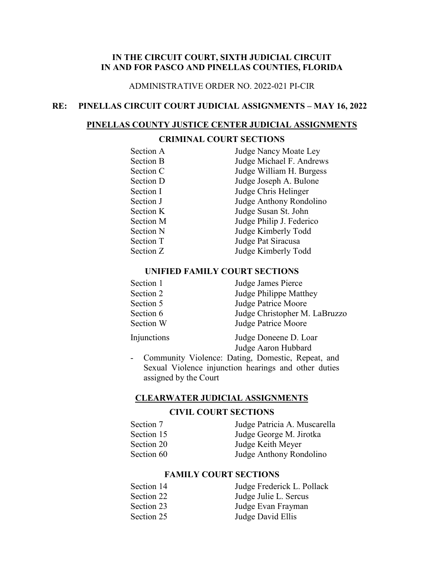## **IN THE CIRCUIT COURT, SIXTH JUDICIAL CIRCUIT IN AND FOR PASCO AND PINELLAS COUNTIES, FLORIDA**

## ADMINISTRATIVE ORDER NO. 2022-021 PI-CIR

## **RE: PINELLAS CIRCUIT COURT JUDICIAL ASSIGNMENTS – MAY 16, 2022**

## **PINELLAS COUNTY JUSTICE CENTER JUDICIAL ASSIGNMENTS**

# **CRIMINAL COURT SECTIONS**

| Section A        | Judge Nancy Moate Ley    |
|------------------|--------------------------|
| <b>Section B</b> | Judge Michael F. Andrews |
| Section C        | Judge William H. Burgess |
| Section D        | Judge Joseph A. Bulone   |
| Section I        | Judge Chris Helinger     |
| Section J        | Judge Anthony Rondolino  |
| Section K        | Judge Susan St. John     |
| Section M        | Judge Philip J. Federico |
| Section N        | Judge Kimberly Todd      |
| Section T        | Judge Pat Siracusa       |
| Section Z        | Judge Kimberly Todd      |

### **UNIFIED FAMILY COURT SECTIONS**

| Section 1 | Judge James Pierce            |
|-----------|-------------------------------|
| Section 2 | Judge Philippe Matthey        |
| Section 5 | Judge Patrice Moore           |
| Section 6 | Judge Christopher M. LaBruzzo |
| Section W | Judge Patrice Moore           |
|           |                               |

Injunctions Judge Doneene D. Loar Judge Aaron Hubbard

- Community Violence: Dating, Domestic, Repeat, and Sexual Violence injunction hearings and other duties assigned by the Court

## **CLEARWATER JUDICIAL ASSIGNMENTS**

#### **CIVIL COURT SECTIONS**

| Section 7  | Judge Patricia A. Muscarella |
|------------|------------------------------|
| Section 15 | Judge George M. Jirotka      |
| Section 20 | Judge Keith Meyer            |
| Section 60 | Judge Anthony Rondolino      |

## **FAMILY COURT SECTIONS**

| Section 14 | Judge Frederick L. Pollack |
|------------|----------------------------|
| Section 22 | Judge Julie L. Sercus      |
| Section 23 | Judge Evan Frayman         |
| Section 25 | Judge David Ellis          |
|            |                            |